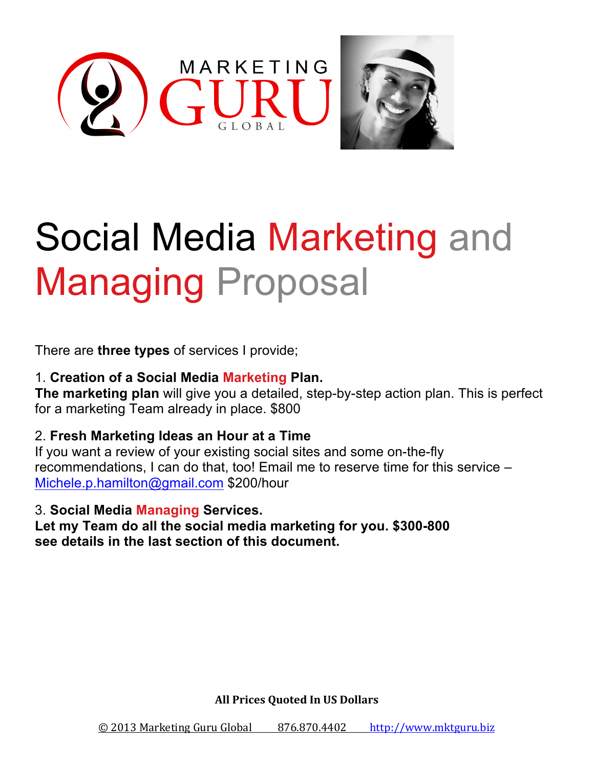

# Social Media Marketing and Managing Proposal

There are **three types** of services I provide;

1. **Creation of a Social Media Marketing Plan. The marketing plan** will give you a detailed, step-by-step action plan. This is perfect for a marketing Team already in place. \$800

2. **Fresh Marketing Ideas an Hour at a Time** 

If you want a review of your existing social sites and some on-the-fly recommendations, I can do that, too! Email me to reserve time for this service – Michele.p.hamilton@gmail.com \$200/hour

#### 3. **Social Media Managing Services.**

**Let my Team do all the social media marketing for you. \$300-800 see details in the last section of this document.**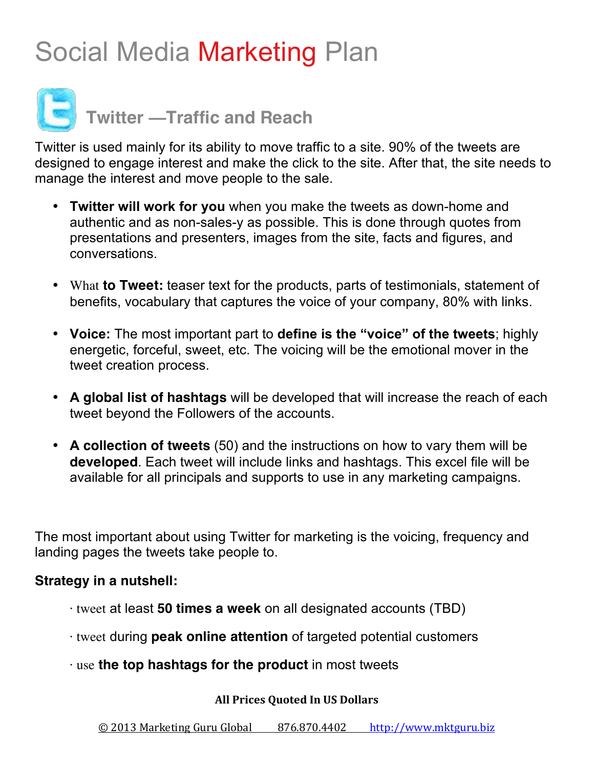# Social Media Marketing Plan



**Twitter —Traffic and Reach**

Twitter is used mainly for its ability to move traffic to a site. 90% of the tweets are designed to engage interest and make the click to the site. After that, the site needs to manage the interest and move people to the sale.

- **Twitter will work for you** when you make the tweets as down-home and authentic and as non-sales-y as possible. This is done through quotes from presentations and presenters, images from the site, facts and figures, and conversations.
- What **to Tweet:** teaser text for the products, parts of testimonials, statement of benefits, vocabulary that captures the voice of your company, 80% with links.
- **Voice:** The most important part to **define is the "voice" of the tweets**; highly energetic, forceful, sweet, etc. The voicing will be the emotional mover in the tweet creation process.
- **A global list of hashtags** will be developed that will increase the reach of each tweet beyond the Followers of the accounts.
- **A collection of tweets** (50) and the instructions on how to vary them will be **developed**. Each tweet will include links and hashtags. This excel file will be available for all principals and supports to use in any marketing campaigns.

The most important about using Twitter for marketing is the voicing, frequency and landing pages the tweets take people to.

#### **Strategy in a nutshell:**

- · tweet at least **50 times a week** on all designated accounts (TBD)
- · tweet during **peak online attention** of targeted potential customers
- · use **the top hashtags for the product** in most tweets

#### **All Prices Quoted In US Dollars**

© 2013 Marketing Guru Global 876.870.4402 http://www.mktguru.biz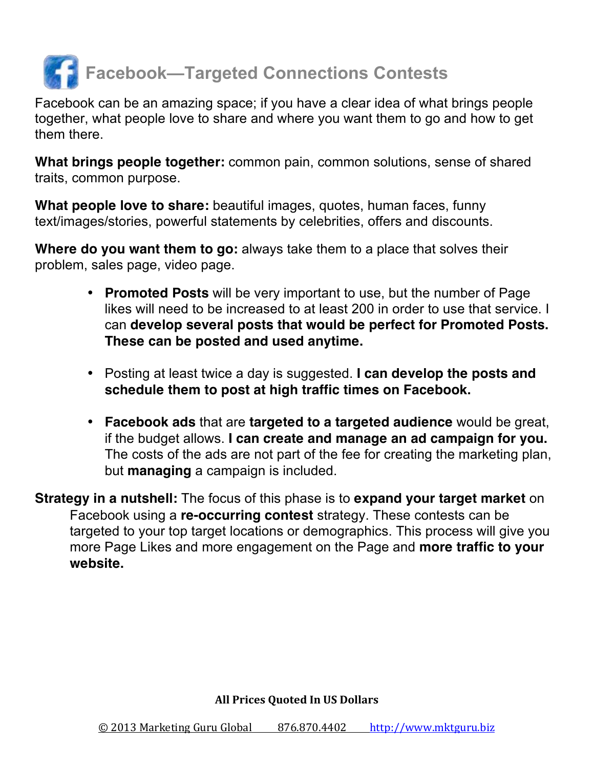

Facebook can be an amazing space; if you have a clear idea of what brings people together, what people love to share and where you want them to go and how to get them there.

**What brings people together:** common pain, common solutions, sense of shared traits, common purpose.

**What people love to share:** beautiful images, quotes, human faces, funny text/images/stories, powerful statements by celebrities, offers and discounts.

**Where do you want them to go:** always take them to a place that solves their problem, sales page, video page.

- **Promoted Posts** will be very important to use, but the number of Page likes will need to be increased to at least 200 in order to use that service. I can **develop several posts that would be perfect for Promoted Posts. These can be posted and used anytime.**
- Posting at least twice a day is suggested. **I can develop the posts and schedule them to post at high traffic times on Facebook.**
- **Facebook ads** that are **targeted to a targeted audience** would be great, if the budget allows. **I can create and manage an ad campaign for you.**  The costs of the ads are not part of the fee for creating the marketing plan, but **managing** a campaign is included.

**Strategy in a nutshell:** The focus of this phase is to **expand your target market** on Facebook using a **re-occurring contest** strategy. These contests can be targeted to your top target locations or demographics. This process will give you more Page Likes and more engagement on the Page and **more traffic to your website.**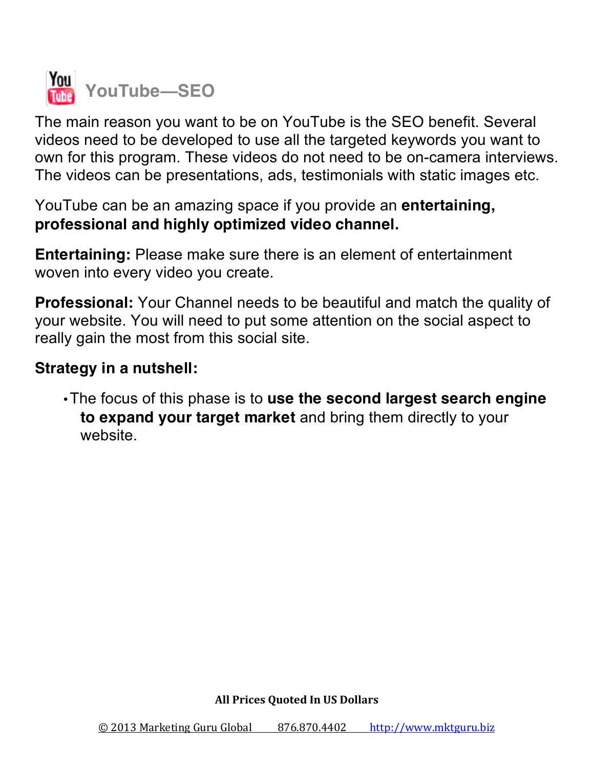

The main reason you want to be on YouTube is the SEO benefit. Several videos need to be developed to use all the targeted keywords you want to own for this program. These videos do not need to be on-camera interviews. The videos can be presentations, ads, testimonials with static images etc.

YouTube can be an amazing space if you provide an **entertaining, professional and highly optimized video channel.**

**Entertaining:** Please make sure there is an element of entertainment woven into every video you create.

**Professional:** Your Channel needs to be beautiful and match the quality of your website. You will need to put some attention on the social aspect to really gain the most from this social site.

## **Strategy in a nutshell:**

•The focus of this phase is to **use the second largest search engine to expand your target market** and bring them directly to your website.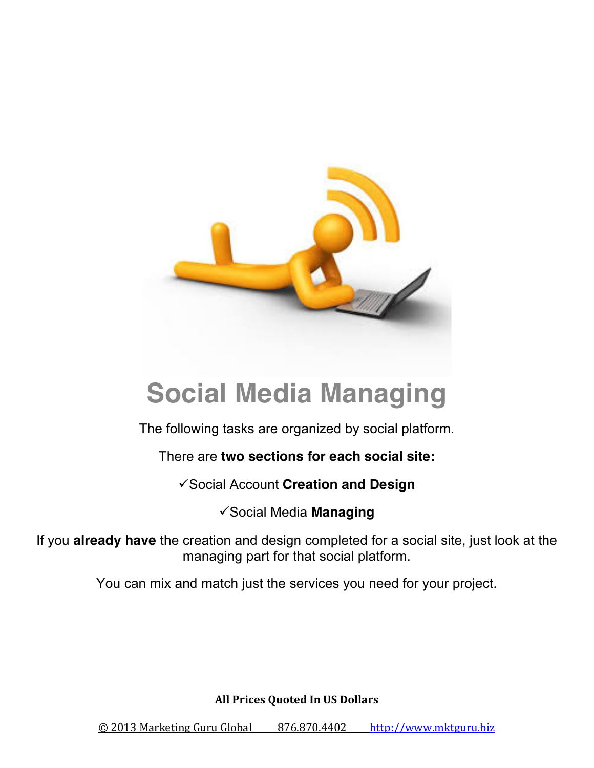

# **Social Media Managing**

The following tasks are organized by social platform.

There are **two sections for each social site:**

**v** Social Account **Creation and Design** 

**v** Social Media **Managing** 

If you **already have** the creation and design completed for a social site, just look at the managing part for that social platform.

You can mix and match just the services you need for your project.

**All Prices Quoted In US Dollars** 

© 2013 Marketing Guru Global 876.870.4402 http://www.mktguru.biz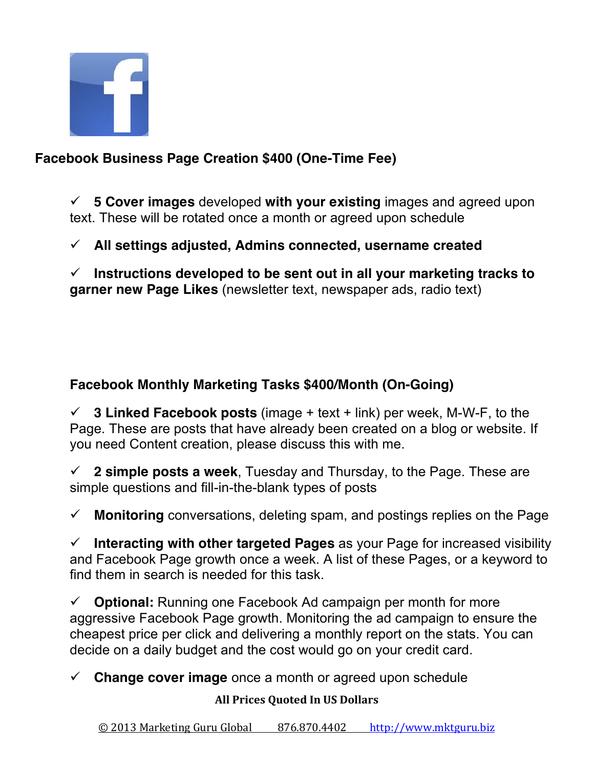

### **Facebook Business Page Creation \$400 (One-Time Fee)**

ü **5 Cover images** developed **with your existing** images and agreed upon text. These will be rotated once a month or agreed upon schedule

ü **All settings adjusted, Admins connected, username created** 

ü **Instructions developed to be sent out in all your marketing tracks to garner new Page Likes** (newsletter text, newspaper ads, radio text)

### **Facebook Monthly Marketing Tasks \$400/Month (On-Going)**

ü **3 Linked Facebook posts** (image + text + link) per week, M-W-F, to the Page. These are posts that have already been created on a blog or website. If you need Content creation, please discuss this with me.

 $\checkmark$  2 simple posts a week. Tuesday and Thursday, to the Page. These are simple questions and fill-in-the-blank types of posts

 $\checkmark$  **Monitoring** conversations, deleting spam, and postings replies on the Page

ü **Interacting with other targeted Pages** as your Page for increased visibility and Facebook Page growth once a week. A list of these Pages, or a keyword to find them in search is needed for this task.

ü **Optional:** Running one Facebook Ad campaign per month for more aggressive Facebook Page growth. Monitoring the ad campaign to ensure the cheapest price per click and delivering a monthly report on the stats. You can decide on a daily budget and the cost would go on your credit card.

 $\checkmark$  **Change cover image** once a month or agreed upon schedule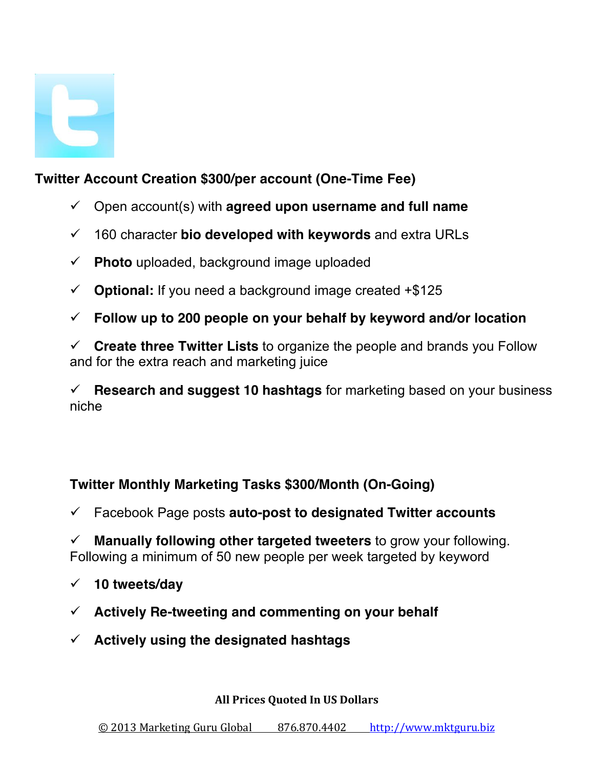

## **Twitter Account Creation \$300/per account (One-Time Fee)**

- $\checkmark$  Open account(s) with **agreed upon username and full name**
- ü 160 character **bio developed with keywords** and extra URLs
- $\checkmark$  Photo uploaded, background image uploaded
- $\checkmark$  **Optional:** If you need a background image created  $\text{\textsterling}5125$
- ü **Follow up to 200 people on your behalf by keyword and/or location**

ü **Create three Twitter Lists** to organize the people and brands you Follow and for the extra reach and marketing juice

ü **Research and suggest 10 hashtags** for marketing based on your business niche

#### **Twitter Monthly Marketing Tasks \$300/Month (On-Going)**

ü Facebook Page posts **auto-post to designated Twitter accounts** 

ü **Manually following other targeted tweeters** to grow your following. Following a minimum of 50 new people per week targeted by keyword

- ü **10 tweets/day**
- ü **Actively Re-tweeting and commenting on your behalf**
- ü **Actively using the designated hashtags**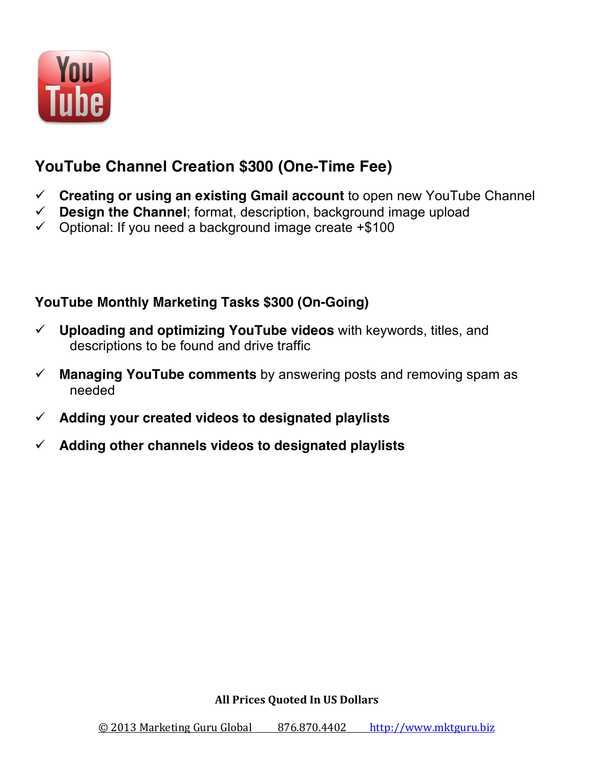

# **YouTube Channel Creation \$300 (One-Time Fee)**

- ü **Creating or using an existing Gmail account** to open new YouTube Channel
- $\checkmark$  **Design the Channel**; format, description, background image upload
- $\checkmark$  Optional: If you need a background image create +\$100

#### **YouTube Monthly Marketing Tasks \$300 (On-Going)**

- $\checkmark$  Uploading and optimizing YouTube videos with keywords, titles, and descriptions to be found and drive traffic
- $\checkmark$  **Managing YouTube comments** by answering posts and removing spam as needed
- ü **Adding your created videos to designated playlists**
- ü **Adding other channels videos to designated playlists**